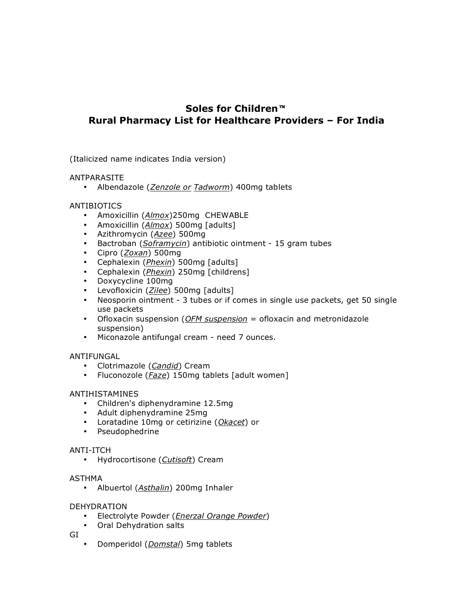# **Soles for Children Rural Pharmacy List for Healthcare Providers – For India**

(Italicized name indicates India version)

# ANTPARASITE

• Albendazole (*Zenzole or Tadworm*) 400mg tablets

# ANTIBIOTICS

- Amoxicillin (*Almox*)250mg CHEWABLE
- Amoxicillin (*Almox*) 500mg [adults]
- Azithromycin (*Azee*) 500mg
- Bactroban (*Soframycin*) antibiotic ointment 15 gram tubes
- Cipro (*Zoxan*) 500mg
- Cephalexin (*Phexin*) 500mg [adults]
- Cephalexin (*Phexin*) 250mg [childrens]
- Doxycycline 100mg
- Levofloxicin (*Zilee*) 500mg [adults]
- Neosporin ointment 3 tubes or if comes in single use packets, get 50 single use packets
- Ofloxacin suspension (*OFM suspension* = ofloxacin and metronidazole suspension)
- Miconazole antifungal cream need 7 ounces.

# ANTIFUNGAL

- Clotrimazole (*Candid*) Cream
- Fluconozole (*Faze*) 150mg tablets [adult women]

#### ANTIHISTAMINES

- Children's diphenydramine 12.5mg
- Adult diphenydramine 25mg
- Loratadine 10mg or cetirizine (*Okacet*) or
- Pseudophedrine

#### ANTI-ITCH

• Hydrocortisone (*Cutisoft*) Cream

#### ASTHMA

• Albuertol (*Asthalin*) 200mg Inhaler

#### DEHYDRATION

- Electrolyte Powder (*Enerzal Orange Powder*)
- Oral Dehydration salts

GI

• Domperidol (*Domstal*) 5mg tablets